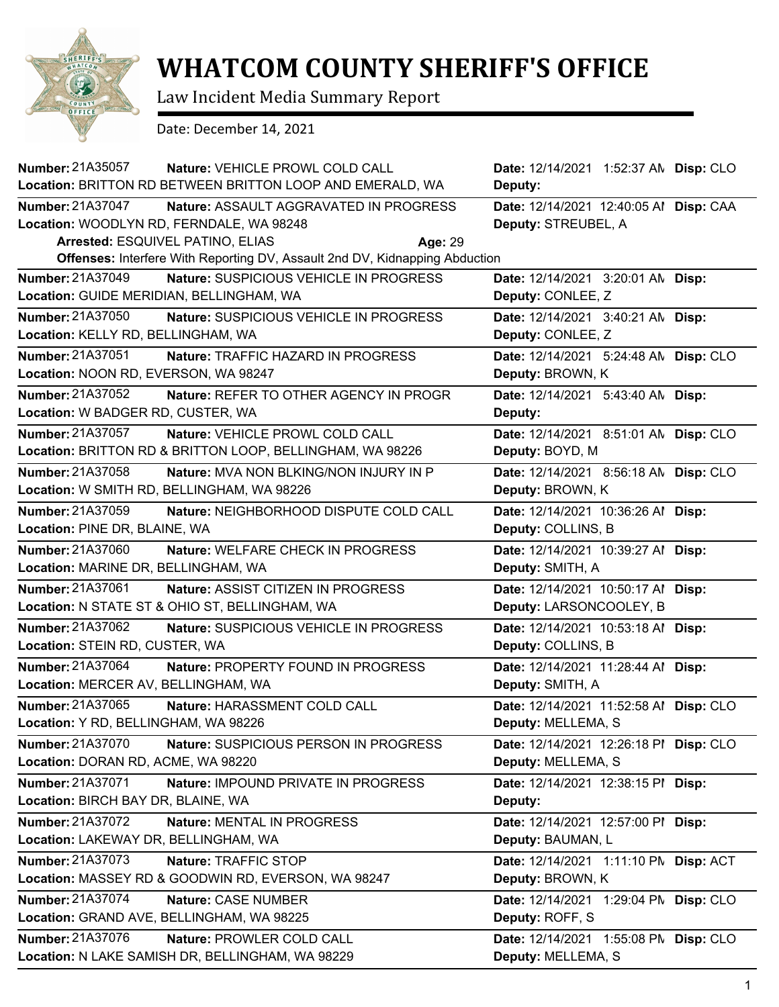

## **WHATCOM COUNTY SHERIFF'S OFFICE**

Law Incident Media Summary Report

Date: December 14, 2021

| <b>Number: 21A35057</b>                                   | Nature: VEHICLE PROWL COLD CALL                                             | Date: 12/14/2021 1:52:37 AN Disp: CLO  |  |
|-----------------------------------------------------------|-----------------------------------------------------------------------------|----------------------------------------|--|
| Location: BRITTON RD BETWEEN BRITTON LOOP AND EMERALD, WA |                                                                             | Deputy:                                |  |
| <b>Number: 21A37047</b>                                   | Nature: ASSAULT AGGRAVATED IN PROGRESS                                      | Date: 12/14/2021 12:40:05 Al Disp: CAA |  |
| Location: WOODLYN RD, FERNDALE, WA 98248                  |                                                                             | Deputy: STREUBEL, A                    |  |
| Arrested: ESQUIVEL PATINO, ELIAS                          | Age: 29                                                                     |                                        |  |
|                                                           | Offenses: Interfere With Reporting DV, Assault 2nd DV, Kidnapping Abduction |                                        |  |
| Number: 21A37049                                          | Nature: SUSPICIOUS VEHICLE IN PROGRESS                                      | Date: 12/14/2021 3:20:01 AN Disp:      |  |
| Location: GUIDE MERIDIAN, BELLINGHAM, WA                  |                                                                             | Deputy: CONLEE, Z                      |  |
| Number: 21A37050                                          | Nature: SUSPICIOUS VEHICLE IN PROGRESS                                      | Date: 12/14/2021 3:40:21 AN Disp:      |  |
| Location: KELLY RD, BELLINGHAM, WA                        |                                                                             | Deputy: CONLEE, Z                      |  |
| Number: 21A37051                                          | Nature: TRAFFIC HAZARD IN PROGRESS                                          | Date: 12/14/2021 5:24:48 AN Disp: CLO  |  |
| Location: NOON RD, EVERSON, WA 98247                      |                                                                             | Deputy: BROWN, K                       |  |
| Number: 21A37052                                          | Nature: REFER TO OTHER AGENCY IN PROGR                                      | Date: 12/14/2021 5:43:40 AN Disp:      |  |
| Location: W BADGER RD, CUSTER, WA                         |                                                                             | Deputy:                                |  |
| <b>Number: 21A37057</b>                                   | Nature: VEHICLE PROWL COLD CALL                                             | Date: 12/14/2021 8:51:01 AN Disp: CLO  |  |
| Location: BRITTON RD & BRITTON LOOP, BELLINGHAM, WA 98226 |                                                                             | Deputy: BOYD, M                        |  |
| Number: 21A37058                                          | Nature: MVA NON BLKING/NON INJURY IN P                                      | Date: 12/14/2021 8:56:18 AN Disp: CLO  |  |
| Location: W SMITH RD, BELLINGHAM, WA 98226                |                                                                             | Deputy: BROWN, K                       |  |
| Number: 21A37059                                          | Nature: NEIGHBORHOOD DISPUTE COLD CALL                                      | Date: 12/14/2021 10:36:26 Al Disp:     |  |
| Location: PINE DR, BLAINE, WA                             |                                                                             | Deputy: COLLINS, B                     |  |
| Number: 21A37060                                          | Nature: WELFARE CHECK IN PROGRESS                                           | Date: 12/14/2021 10:39:27 Al Disp:     |  |
| Location: MARINE DR, BELLINGHAM, WA                       |                                                                             | Deputy: SMITH, A                       |  |
| Number: 21A37061                                          | Nature: ASSIST CITIZEN IN PROGRESS                                          | Date: 12/14/2021 10:50:17 Al Disp:     |  |
| Location: N STATE ST & OHIO ST, BELLINGHAM, WA            |                                                                             | Deputy: LARSONCOOLEY, B                |  |
| Number: 21A37062                                          | Nature: SUSPICIOUS VEHICLE IN PROGRESS                                      | Date: 12/14/2021 10:53:18 Al Disp:     |  |
| Location: STEIN RD, CUSTER, WA                            |                                                                             | Deputy: COLLINS, B                     |  |
| Number: 21A37064                                          | Nature: PROPERTY FOUND IN PROGRESS                                          | Date: 12/14/2021 11:28:44 Al Disp:     |  |
| Location: MERCER AV, BELLINGHAM, WA                       |                                                                             | Deputy: SMITH, A                       |  |
| Number: 21A37065                                          | Nature: HARASSMENT COLD CALL                                                | Date: 12/14/2021 11:52:58 Al Disp: CLO |  |
| Location: Y RD, BELLINGHAM, WA 98226                      |                                                                             | Deputy: MELLEMA, S                     |  |
| Number: 21A37070                                          | Nature: SUSPICIOUS PERSON IN PROGRESS                                       | Date: 12/14/2021 12:26:18 PI Disp: CLO |  |
| Location: DORAN RD, ACME, WA 98220                        |                                                                             | Deputy: MELLEMA, S                     |  |
| Number: 21A37071                                          | Nature: IMPOUND PRIVATE IN PROGRESS                                         | Date: 12/14/2021 12:38:15 PI Disp:     |  |
| Location: BIRCH BAY DR, BLAINE, WA                        |                                                                             | Deputy:                                |  |
| Number: 21A37072<br>Nature: MENTAL IN PROGRESS            |                                                                             | Date: 12/14/2021 12:57:00 PI Disp:     |  |
| Location: LAKEWAY DR, BELLINGHAM, WA                      |                                                                             | Deputy: BAUMAN, L                      |  |
| Number: 21A37073<br>Nature: TRAFFIC STOP                  |                                                                             | Date: 12/14/2021 1:11:10 PM Disp: ACT  |  |
| Location: MASSEY RD & GOODWIN RD, EVERSON, WA 98247       |                                                                             | Deputy: BROWN, K                       |  |
| <b>Number: 21A37074</b><br>Nature: CASE NUMBER            |                                                                             | Date: 12/14/2021 1:29:04 PM Disp: CLO  |  |
| Location: GRAND AVE, BELLINGHAM, WA 98225                 |                                                                             | Deputy: ROFF, S                        |  |
| Number: 21A37076<br>Nature: PROWLER COLD CALL             |                                                                             | Date: 12/14/2021 1:55:08 PM Disp: CLO  |  |
| Location: N LAKE SAMISH DR, BELLINGHAM, WA 98229          |                                                                             | Deputy: MELLEMA, S                     |  |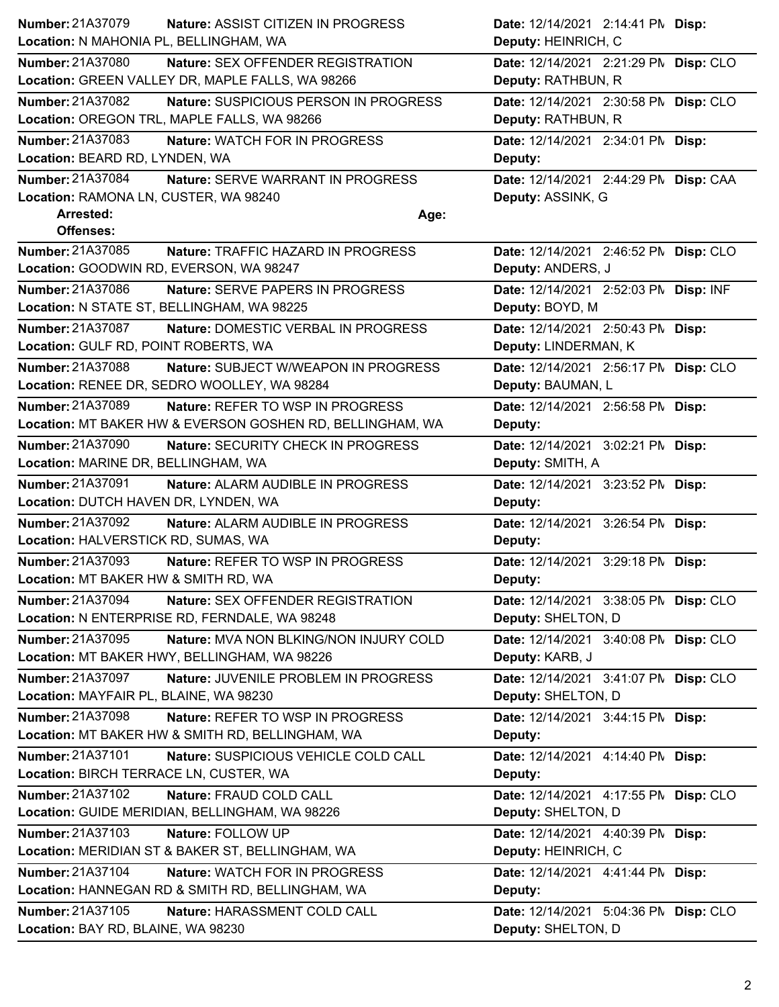| Number: 21A37079                           | Nature: ASSIST CITIZEN IN PROGRESS                        | Date: 12/14/2021 2:14:41 PM Disp:     |  |
|--------------------------------------------|-----------------------------------------------------------|---------------------------------------|--|
| Location: N MAHONIA PL, BELLINGHAM, WA     |                                                           | Deputy: HEINRICH, C                   |  |
| <b>Number: 21A37080</b>                    | Nature: SEX OFFENDER REGISTRATION                         | Date: 12/14/2021 2:21:29 PN Disp: CLO |  |
|                                            | Location: GREEN VALLEY DR, MAPLE FALLS, WA 98266          | Deputy: RATHBUN, R                    |  |
| <b>Number: 21A37082</b>                    | Nature: SUSPICIOUS PERSON IN PROGRESS                     | Date: 12/14/2021 2:30:58 PM Disp: CLO |  |
|                                            | Location: OREGON TRL, MAPLE FALLS, WA 98266               | Deputy: RATHBUN, R                    |  |
| <b>Number: 21A37083</b>                    | Nature: WATCH FOR IN PROGRESS                             | Date: 12/14/2021 2:34:01 PM Disp:     |  |
| Location: BEARD RD, LYNDEN, WA             |                                                           | Deputy:                               |  |
| Number: 21A37084                           | Nature: SERVE WARRANT IN PROGRESS                         | Date: 12/14/2021 2:44:29 PN Disp: CAA |  |
| Location: RAMONA LN, CUSTER, WA 98240      |                                                           | Deputy: ASSINK, G                     |  |
| Arrested:                                  | Age:                                                      |                                       |  |
| <b>Offenses:</b>                           |                                                           |                                       |  |
| Number: 21A37085                           | Nature: TRAFFIC HAZARD IN PROGRESS                        | Date: 12/14/2021 2:46:52 PN Disp: CLO |  |
| Location: GOODWIN RD, EVERSON, WA 98247    |                                                           | Deputy: ANDERS, J                     |  |
| <b>Number: 21A37086</b>                    | Nature: SERVE PAPERS IN PROGRESS                          | Date: 12/14/2021 2:52:03 PM Disp: INF |  |
| Location: N STATE ST, BELLINGHAM, WA 98225 |                                                           | Deputy: BOYD, M                       |  |
| Number: 21A37087                           | Nature: DOMESTIC VERBAL IN PROGRESS                       | Date: 12/14/2021 2:50:43 PM Disp:     |  |
| Location: GULF RD, POINT ROBERTS, WA       |                                                           | Deputy: LINDERMAN, K                  |  |
| <b>Number: 21A37088</b>                    | Nature: SUBJECT W/WEAPON IN PROGRESS                      | Date: 12/14/2021 2:56:17 PM Disp: CLO |  |
|                                            | Location: RENEE DR, SEDRO WOOLLEY, WA 98284               | Deputy: BAUMAN, L                     |  |
| Number: 21A37089                           | <b>Nature: REFER TO WSP IN PROGRESS</b>                   | Date: 12/14/2021 2:56:58 PM Disp:     |  |
|                                            | Location: MT BAKER HW & EVERSON GOSHEN RD, BELLINGHAM, WA | Deputy:                               |  |
| <b>Number: 21A37090</b>                    | Nature: SECURITY CHECK IN PROGRESS                        | Date: 12/14/2021 3:02:21 PM Disp:     |  |
| Location: MARINE DR, BELLINGHAM, WA        |                                                           | Deputy: SMITH, A                      |  |
| Number: 21A37091                           | Nature: ALARM AUDIBLE IN PROGRESS                         | Date: 12/14/2021 3:23:52 PM Disp:     |  |
| Location: DUTCH HAVEN DR, LYNDEN, WA       |                                                           | Deputy:                               |  |
| Number: 21A37092                           | Nature: ALARM AUDIBLE IN PROGRESS                         | Date: 12/14/2021 3:26:54 PM Disp:     |  |
| Location: HALVERSTICK RD, SUMAS, WA        |                                                           | Deputy:                               |  |
| Number: 21A37093                           | Nature: REFER TO WSP IN PROGRESS                          | Date: 12/14/2021 3:29:18 PM Disp:     |  |
| Location: MT BAKER HW & SMITH RD, WA       |                                                           | Deputy:                               |  |
| Number: 21A37094                           | Nature: SEX OFFENDER REGISTRATION                         | Date: 12/14/2021 3:38:05 PN Disp: CLO |  |
|                                            | Location: N ENTERPRISE RD, FERNDALE, WA 98248             | Deputy: SHELTON, D                    |  |
| Number: 21A37095                           | Nature: MVA NON BLKING/NON INJURY COLD                    | Date: 12/14/2021 3:40:08 PN Disp: CLO |  |
|                                            | Location: MT BAKER HWY, BELLINGHAM, WA 98226              | Deputy: KARB, J                       |  |
| <b>Number: 21A37097</b>                    | Nature: JUVENILE PROBLEM IN PROGRESS                      | Date: 12/14/2021 3:41:07 PN Disp: CLO |  |
| Location: MAYFAIR PL, BLAINE, WA 98230     |                                                           | Deputy: SHELTON, D                    |  |
| Number: 21A37098                           | Nature: REFER TO WSP IN PROGRESS                          | Date: 12/14/2021 3:44:15 PM Disp:     |  |
|                                            | Location: MT BAKER HW & SMITH RD, BELLINGHAM, WA          | Deputy:                               |  |
| Number: 21A37101                           | Nature: SUSPICIOUS VEHICLE COLD CALL                      | Date: 12/14/2021 4:14:40 PM Disp:     |  |
| Location: BIRCH TERRACE LN, CUSTER, WA     |                                                           | Deputy:                               |  |
| Number: 21A37102                           | Nature: FRAUD COLD CALL                                   | Date: 12/14/2021 4:17:55 PN Disp: CLO |  |
|                                            | Location: GUIDE MERIDIAN, BELLINGHAM, WA 98226            | Deputy: SHELTON, D                    |  |
| Number: 21A37103                           | Nature: FOLLOW UP                                         | Date: 12/14/2021 4:40:39 PM Disp:     |  |
|                                            | Location: MERIDIAN ST & BAKER ST, BELLINGHAM, WA          | Deputy: HEINRICH, C                   |  |
| Number: 21A37104                           | Nature: WATCH FOR IN PROGRESS                             | Date: 12/14/2021 4:41:44 PM Disp:     |  |
|                                            | Location: HANNEGAN RD & SMITH RD, BELLINGHAM, WA          | Deputy:                               |  |
|                                            |                                                           |                                       |  |
| Number: 21A37105                           | Nature: HARASSMENT COLD CALL                              | Date: 12/14/2021 5:04:36 PN Disp: CLO |  |